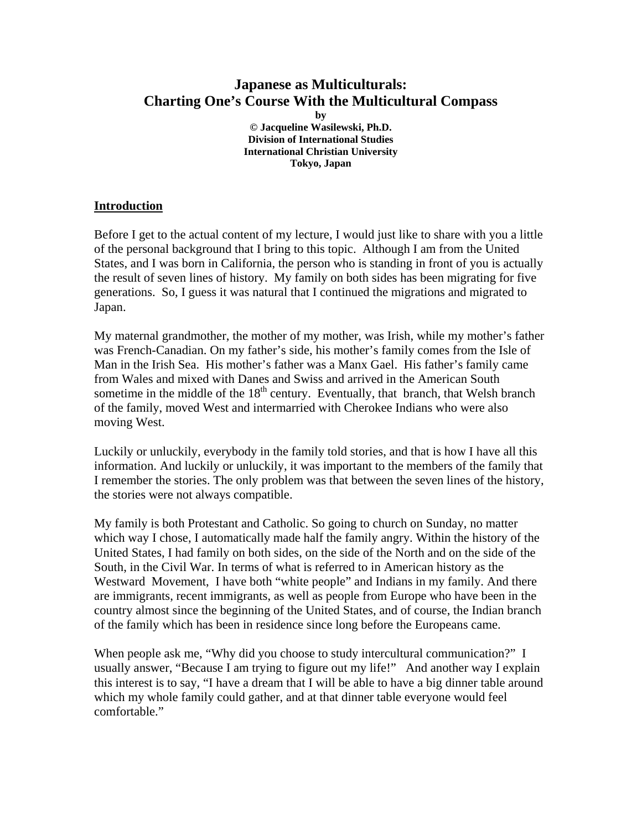# **Japanese as Multiculturals: Charting One's Course With the Multicultural Compass**

**by © Jacqueline Wasilewski, Ph.D. Division of International Studies International Christian University Tokyo, Japan** 

#### **Introduction**

Before I get to the actual content of my lecture, I would just like to share with you a little of the personal background that I bring to this topic. Although I am from the United States, and I was born in California, the person who is standing in front of you is actually the result of seven lines of history. My family on both sides has been migrating for five generations. So, I guess it was natural that I continued the migrations and migrated to Japan.

My maternal grandmother, the mother of my mother, was Irish, while my mother's father was French-Canadian. On my father's side, his mother's family comes from the Isle of Man in the Irish Sea. His mother's father was a Manx Gael. His father's family came from Wales and mixed with Danes and Swiss and arrived in the American South sometime in the middle of the  $18<sup>th</sup>$  century. Eventually, that branch, that Welsh branch of the family, moved West and intermarried with Cherokee Indians who were also moving West.

Luckily or unluckily, everybody in the family told stories, and that is how I have all this information. And luckily or unluckily, it was important to the members of the family that I remember the stories. The only problem was that between the seven lines of the history, the stories were not always compatible.

My family is both Protestant and Catholic. So going to church on Sunday, no matter which way I chose, I automatically made half the family angry. Within the history of the United States, I had family on both sides, on the side of the North and on the side of the South, in the Civil War. In terms of what is referred to in American history as the Westward Movement, I have both "white people" and Indians in my family. And there are immigrants, recent immigrants, as well as people from Europe who have been in the country almost since the beginning of the United States, and of course, the Indian branch of the family which has been in residence since long before the Europeans came.

When people ask me, "Why did you choose to study intercultural communication?" I usually answer, "Because I am trying to figure out my life!" And another way I explain this interest is to say, "I have a dream that I will be able to have a big dinner table around which my whole family could gather, and at that dinner table everyone would feel comfortable."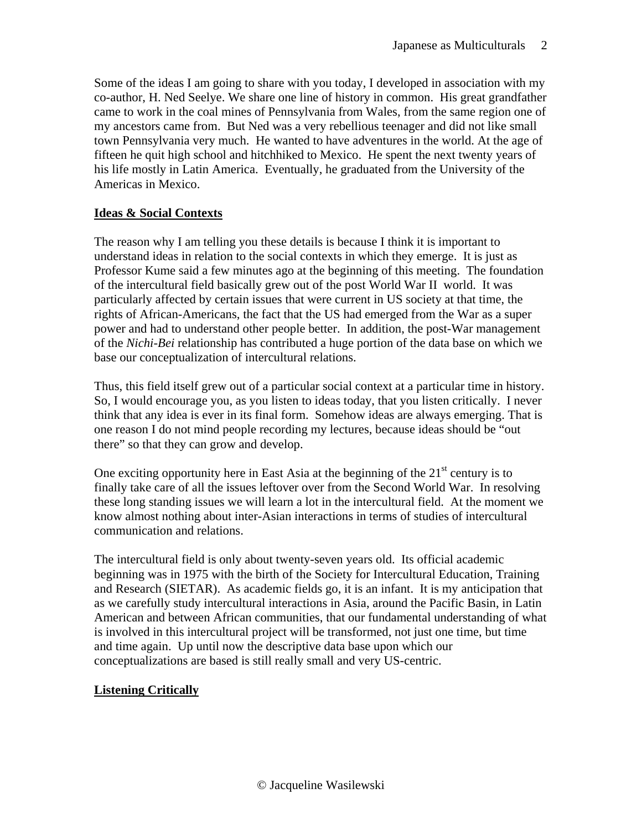Some of the ideas I am going to share with you today, I developed in association with my co-author, H. Ned Seelye. We share one line of history in common. His great grandfather came to work in the coal mines of Pennsylvania from Wales, from the same region one of my ancestors came from. But Ned was a very rebellious teenager and did not like small town Pennsylvania very much. He wanted to have adventures in the world. At the age of fifteen he quit high school and hitchhiked to Mexico. He spent the next twenty years of his life mostly in Latin America. Eventually, he graduated from the University of the Americas in Mexico.

### **Ideas & Social Contexts**

The reason why I am telling you these details is because I think it is important to understand ideas in relation to the social contexts in which they emerge. It is just as Professor Kume said a few minutes ago at the beginning of this meeting. The foundation of the intercultural field basically grew out of the post World War II world. It was particularly affected by certain issues that were current in US society at that time, the rights of African-Americans, the fact that the US had emerged from the War as a super power and had to understand other people better. In addition, the post-War management of the *Nichi-Bei* relationship has contributed a huge portion of the data base on which we base our conceptualization of intercultural relations.

Thus, this field itself grew out of a particular social context at a particular time in history. So, I would encourage you, as you listen to ideas today, that you listen critically. I never think that any idea is ever in its final form. Somehow ideas are always emerging. That is one reason I do not mind people recording my lectures, because ideas should be "out there" so that they can grow and develop.

One exciting opportunity here in East Asia at the beginning of the  $21<sup>st</sup>$  century is to finally take care of all the issues leftover over from the Second World War. In resolving these long standing issues we will learn a lot in the intercultural field. At the moment we know almost nothing about inter-Asian interactions in terms of studies of intercultural communication and relations.

The intercultural field is only about twenty-seven years old. Its official academic beginning was in 1975 with the birth of the Society for Intercultural Education, Training and Research (SIETAR). As academic fields go, it is an infant. It is my anticipation that as we carefully study intercultural interactions in Asia, around the Pacific Basin, in Latin American and between African communities, that our fundamental understanding of what is involved in this intercultural project will be transformed, not just one time, but time and time again. Up until now the descriptive data base upon which our conceptualizations are based is still really small and very US-centric.

### **Listening Critically**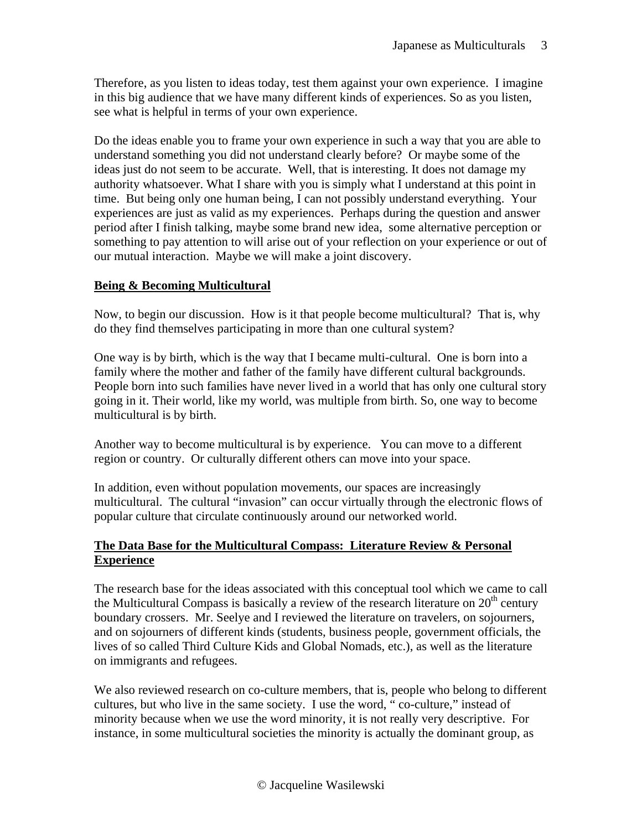Therefore, as you listen to ideas today, test them against your own experience. I imagine in this big audience that we have many different kinds of experiences. So as you listen, see what is helpful in terms of your own experience.

Do the ideas enable you to frame your own experience in such a way that you are able to understand something you did not understand clearly before? Or maybe some of the ideas just do not seem to be accurate. Well, that is interesting. It does not damage my authority whatsoever. What I share with you is simply what I understand at this point in time. But being only one human being, I can not possibly understand everything. Your experiences are just as valid as my experiences. Perhaps during the question and answer period after I finish talking, maybe some brand new idea, some alternative perception or something to pay attention to will arise out of your reflection on your experience or out of our mutual interaction. Maybe we will make a joint discovery.

#### **Being & Becoming Multicultural**

Now, to begin our discussion. How is it that people become multicultural? That is, why do they find themselves participating in more than one cultural system?

One way is by birth, which is the way that I became multi-cultural. One is born into a family where the mother and father of the family have different cultural backgrounds. People born into such families have never lived in a world that has only one cultural story going in it. Their world, like my world, was multiple from birth. So, one way to become multicultural is by birth.

Another way to become multicultural is by experience. You can move to a different region or country. Or culturally different others can move into your space.

In addition, even without population movements, our spaces are increasingly multicultural. The cultural "invasion" can occur virtually through the electronic flows of popular culture that circulate continuously around our networked world.

### **The Data Base for the Multicultural Compass: Literature Review & Personal Experience**

The research base for the ideas associated with this conceptual tool which we came to call the Multicultural Compass is basically a review of the research literature on  $20<sup>th</sup>$  century boundary crossers. Mr. Seelye and I reviewed the literature on travelers, on sojourners, and on sojourners of different kinds (students, business people, government officials, the lives of so called Third Culture Kids and Global Nomads, etc.), as well as the literature on immigrants and refugees.

We also reviewed research on co-culture members, that is, people who belong to different cultures, but who live in the same society. I use the word, " co-culture," instead of minority because when we use the word minority, it is not really very descriptive. For instance, in some multicultural societies the minority is actually the dominant group, as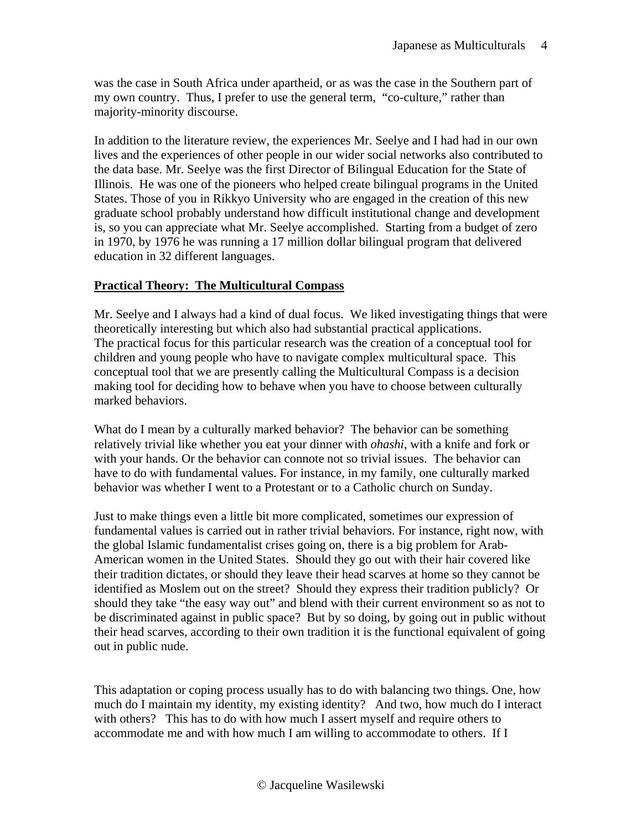was the case in South Africa under apartheid, or as was the case in the Southern part of my own country. Thus, I prefer to use the general term, "co-culture," rather than majority-minority discourse.

In addition to the literature review, the experiences Mr. Seelye and I had had in our own lives and the experiences of other people in our wider social networks also contributed to the data base. Mr. Seelye was the first Director of Bilingual Education for the State of Illinois. He was one of the pioneers who helped create bilingual programs in the United States. Those of you in Rikkyo University who are engaged in the creation of this new graduate school probably understand how difficult institutional change and development is, so you can appreciate what Mr. Seelye accomplished. Starting from a budget of zero in 1970, by 1976 he was running a 17 million dollar bilingual program that delivered education in 32 different languages.

### **Practical Theory: The Multicultural Compass**

Mr. Seelye and I always had a kind of dual focus. We liked investigating things that were theoretically interesting but which also had substantial practical applications. The practical focus for this particular research was the creation of a conceptual tool for children and young people who have to navigate complex multicultural space. This conceptual tool that we are presently calling the Multicultural Compass is a decision making tool for deciding how to behave when you have to choose between culturally marked behaviors.

What do I mean by a culturally marked behavior? The behavior can be something relatively trivial like whether you eat your dinner with *ohashi*, with a knife and fork or with your hands. Or the behavior can connote not so trivial issues. The behavior can have to do with fundamental values. For instance, in my family, one culturally marked behavior was whether I went to a Protestant or to a Catholic church on Sunday.

Just to make things even a little bit more complicated, sometimes our expression of fundamental values is carried out in rather trivial behaviors. For instance, right now, with the global Islamic fundamentalist crises going on, there is a big problem for Arab-American women in the United States. Should they go out with their hair covered like their tradition dictates, or should they leave their head scarves at home so they cannot be identified as Moslem out on the street? Should they express their tradition publicly? Or should they take "the easy way out" and blend with their current environment so as not to be discriminated against in public space? But by so doing, by going out in public without their head scarves, according to their own tradition it is the functional equivalent of going out in public nude.

This adaptation or coping process usually has to do with balancing two things. One, how much do I maintain my identity, my existing identity? And two, how much do I interact with others? This has to do with how much I assert myself and require others to accommodate me and with how much I am willing to accommodate to others. If I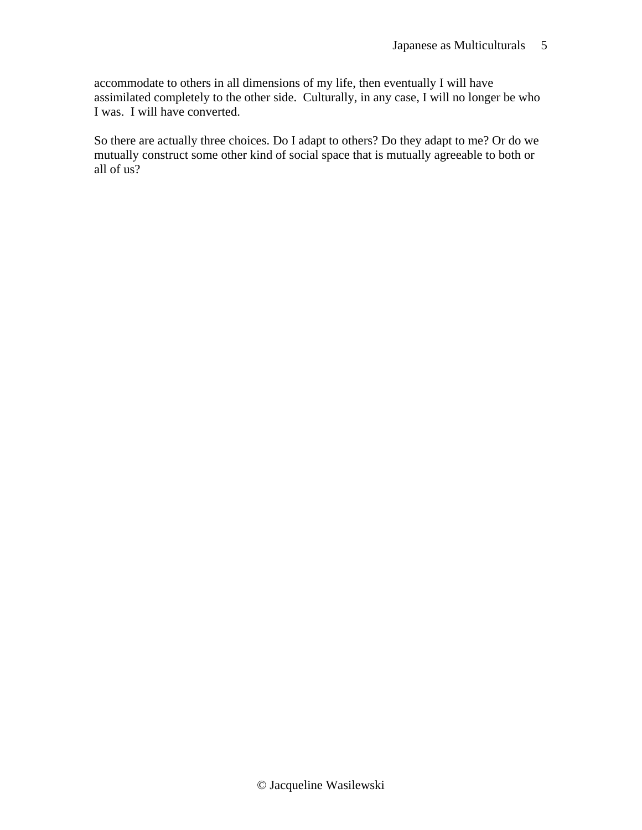accommodate to others in all dimensions of my life, then eventually I will have assimilated completely to the other side. Culturally, in any case, I will no longer be who I was. I will have converted.

So there are actually three choices. Do I adapt to others? Do they adapt to me? Or do we mutually construct some other kind of social space that is mutually agreeable to both or all of us?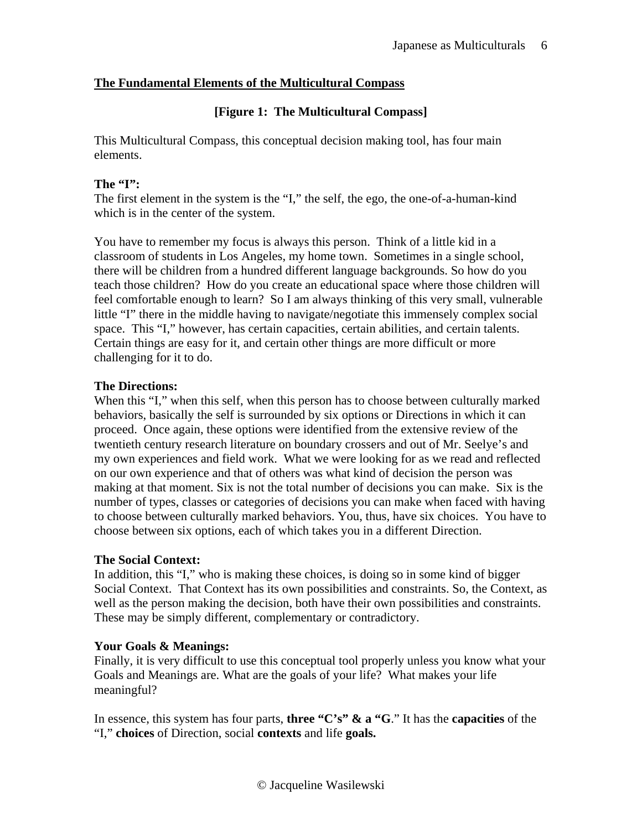### **The Fundamental Elements of the Multicultural Compass**

### **[Figure 1: The Multicultural Compass]**

This Multicultural Compass, this conceptual decision making tool, has four main elements.

#### **The "I":**

The first element in the system is the "I," the self, the ego, the one-of-a-human-kind which is in the center of the system.

You have to remember my focus is always this person. Think of a little kid in a classroom of students in Los Angeles, my home town. Sometimes in a single school, there will be children from a hundred different language backgrounds. So how do you teach those children? How do you create an educational space where those children will feel comfortable enough to learn? So I am always thinking of this very small, vulnerable little "I" there in the middle having to navigate/negotiate this immensely complex social space. This "I," however, has certain capacities, certain abilities, and certain talents. Certain things are easy for it, and certain other things are more difficult or more challenging for it to do.

#### **The Directions:**

When this "I," when this self, when this person has to choose between culturally marked behaviors, basically the self is surrounded by six options or Directions in which it can proceed. Once again, these options were identified from the extensive review of the twentieth century research literature on boundary crossers and out of Mr. Seelye's and my own experiences and field work. What we were looking for as we read and reflected on our own experience and that of others was what kind of decision the person was making at that moment. Six is not the total number of decisions you can make. Six is the number of types, classes or categories of decisions you can make when faced with having to choose between culturally marked behaviors. You, thus, have six choices. You have to choose between six options, each of which takes you in a different Direction.

### **The Social Context:**

In addition, this "I," who is making these choices, is doing so in some kind of bigger Social Context. That Context has its own possibilities and constraints. So, the Context, as well as the person making the decision, both have their own possibilities and constraints. These may be simply different, complementary or contradictory.

### **Your Goals & Meanings:**

Finally, it is very difficult to use this conceptual tool properly unless you know what your Goals and Meanings are. What are the goals of your life? What makes your life meaningful?

In essence, this system has four parts, **three "C's" & a "G**." It has the **capacities** of the "I," **choices** of Direction, social **contexts** and life **goals.**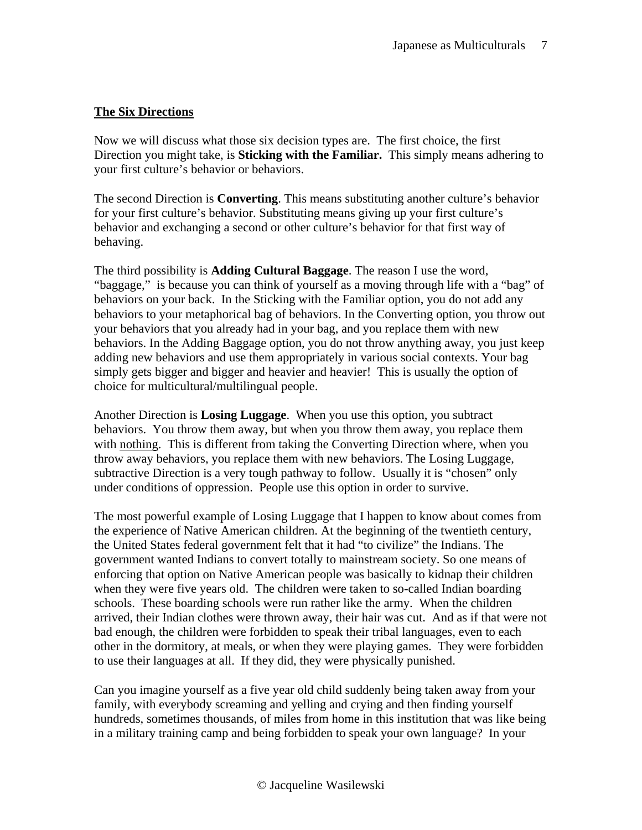### **The Six Directions**

Now we will discuss what those six decision types are. The first choice, the first Direction you might take, is **Sticking with the Familiar.** This simply means adhering to your first culture's behavior or behaviors.

The second Direction is **Converting**. This means substituting another culture's behavior for your first culture's behavior. Substituting means giving up your first culture's behavior and exchanging a second or other culture's behavior for that first way of behaving.

The third possibility is **Adding Cultural Baggage**. The reason I use the word, "baggage," is because you can think of yourself as a moving through life with a "bag" of behaviors on your back. In the Sticking with the Familiar option, you do not add any behaviors to your metaphorical bag of behaviors. In the Converting option, you throw out your behaviors that you already had in your bag, and you replace them with new behaviors. In the Adding Baggage option, you do not throw anything away, you just keep adding new behaviors and use them appropriately in various social contexts. Your bag simply gets bigger and bigger and heavier and heavier! This is usually the option of choice for multicultural/multilingual people.

Another Direction is **Losing Luggage**. When you use this option, you subtract behaviors. You throw them away, but when you throw them away, you replace them with nothing. This is different from taking the Converting Direction where, when you throw away behaviors, you replace them with new behaviors. The Losing Luggage, subtractive Direction is a very tough pathway to follow. Usually it is "chosen" only under conditions of oppression. People use this option in order to survive.

The most powerful example of Losing Luggage that I happen to know about comes from the experience of Native American children. At the beginning of the twentieth century, the United States federal government felt that it had "to civilize" the Indians. The government wanted Indians to convert totally to mainstream society. So one means of enforcing that option on Native American people was basically to kidnap their children when they were five years old. The children were taken to so-called Indian boarding schools. These boarding schools were run rather like the army. When the children arrived, their Indian clothes were thrown away, their hair was cut. And as if that were not bad enough, the children were forbidden to speak their tribal languages, even to each other in the dormitory, at meals, or when they were playing games. They were forbidden to use their languages at all. If they did, they were physically punished.

Can you imagine yourself as a five year old child suddenly being taken away from your family, with everybody screaming and yelling and crying and then finding yourself hundreds, sometimes thousands, of miles from home in this institution that was like being in a military training camp and being forbidden to speak your own language? In your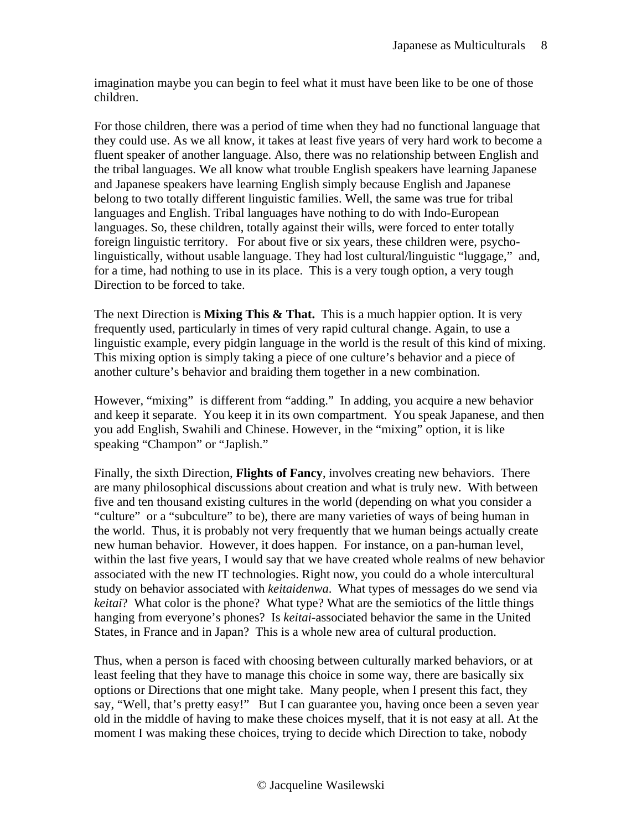imagination maybe you can begin to feel what it must have been like to be one of those children.

For those children, there was a period of time when they had no functional language that they could use. As we all know, it takes at least five years of very hard work to become a fluent speaker of another language. Also, there was no relationship between English and the tribal languages. We all know what trouble English speakers have learning Japanese and Japanese speakers have learning English simply because English and Japanese belong to two totally different linguistic families. Well, the same was true for tribal languages and English. Tribal languages have nothing to do with Indo-European languages. So, these children, totally against their wills, were forced to enter totally foreign linguistic territory. For about five or six years, these children were, psycholinguistically, without usable language. They had lost cultural/linguistic "luggage," and, for a time, had nothing to use in its place. This is a very tough option, a very tough Direction to be forced to take.

The next Direction is **Mixing This & That.** This is a much happier option. It is very frequently used, particularly in times of very rapid cultural change. Again, to use a linguistic example, every pidgin language in the world is the result of this kind of mixing. This mixing option is simply taking a piece of one culture's behavior and a piece of another culture's behavior and braiding them together in a new combination.

However, "mixing" is different from "adding." In adding, you acquire a new behavior and keep it separate. You keep it in its own compartment. You speak Japanese, and then you add English, Swahili and Chinese. However, in the "mixing" option, it is like speaking "Champon" or "Japlish."

Finally, the sixth Direction, **Flights of Fancy**, involves creating new behaviors. There are many philosophical discussions about creation and what is truly new. With between five and ten thousand existing cultures in the world (depending on what you consider a "culture" or a "subculture" to be), there are many varieties of ways of being human in the world. Thus, it is probably not very frequently that we human beings actually create new human behavior. However, it does happen. For instance, on a pan-human level, within the last five years, I would say that we have created whole realms of new behavior associated with the new IT technologies. Right now, you could do a whole intercultural study on behavior associated with *keitaidenwa*. What types of messages do we send via *keitai*? What color is the phone? What type? What are the semiotics of the little things hanging from everyone's phones? Is *keitai*-associated behavior the same in the United States, in France and in Japan? This is a whole new area of cultural production.

Thus, when a person is faced with choosing between culturally marked behaviors, or at least feeling that they have to manage this choice in some way, there are basically six options or Directions that one might take. Many people, when I present this fact, they say, "Well, that's pretty easy!" But I can guarantee you, having once been a seven year old in the middle of having to make these choices myself, that it is not easy at all. At the moment I was making these choices, trying to decide which Direction to take, nobody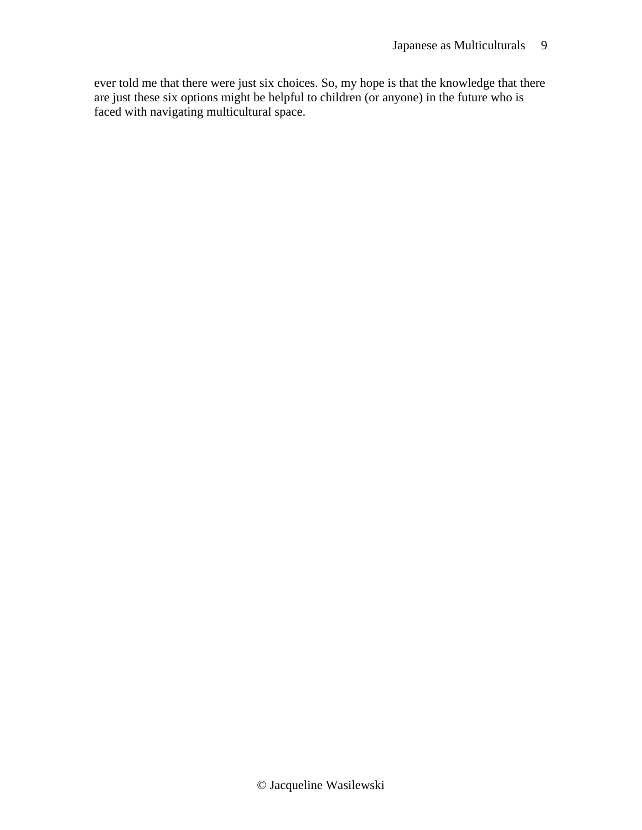ever told me that there were just six choices. So, my hope is that the knowledge that there are just these six options might be helpful to children (or anyone) in the future who is faced with navigating multicultural space.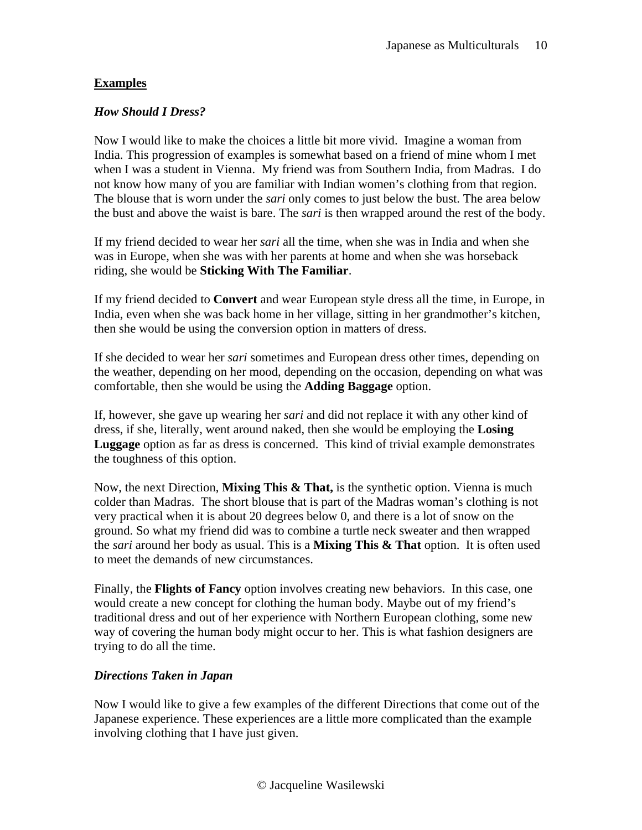### **Examples**

### *How Should I Dress?*

Now I would like to make the choices a little bit more vivid. Imagine a woman from India. This progression of examples is somewhat based on a friend of mine whom I met when I was a student in Vienna. My friend was from Southern India, from Madras. I do not know how many of you are familiar with Indian women's clothing from that region. The blouse that is worn under the *sari* only comes to just below the bust. The area below the bust and above the waist is bare. The *sari* is then wrapped around the rest of the body.

If my friend decided to wear her *sari* all the time, when she was in India and when she was in Europe, when she was with her parents at home and when she was horseback riding, she would be **Sticking With The Familiar**.

If my friend decided to **Convert** and wear European style dress all the time, in Europe, in India, even when she was back home in her village, sitting in her grandmother's kitchen, then she would be using the conversion option in matters of dress.

If she decided to wear her *sari* sometimes and European dress other times, depending on the weather, depending on her mood, depending on the occasion, depending on what was comfortable, then she would be using the **Adding Baggage** option.

If, however, she gave up wearing her *sari* and did not replace it with any other kind of dress, if she, literally, went around naked, then she would be employing the **Losing Luggage** option as far as dress is concerned. This kind of trivial example demonstrates the toughness of this option.

Now, the next Direction, **Mixing This & That,** is the synthetic option. Vienna is much colder than Madras. The short blouse that is part of the Madras woman's clothing is not very practical when it is about 20 degrees below 0, and there is a lot of snow on the ground. So what my friend did was to combine a turtle neck sweater and then wrapped the *sari* around her body as usual. This is a **Mixing This & That** option. It is often used to meet the demands of new circumstances.

Finally, the **Flights of Fancy** option involves creating new behaviors. In this case, one would create a new concept for clothing the human body. Maybe out of my friend's traditional dress and out of her experience with Northern European clothing, some new way of covering the human body might occur to her. This is what fashion designers are trying to do all the time.

### *Directions Taken in Japan*

Now I would like to give a few examples of the different Directions that come out of the Japanese experience. These experiences are a little more complicated than the example involving clothing that I have just given.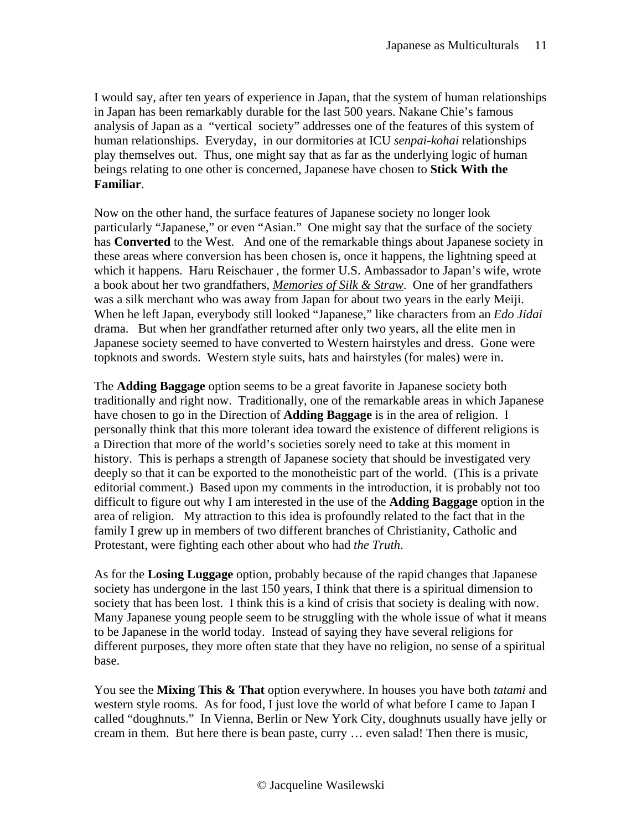I would say, after ten years of experience in Japan, that the system of human relationships in Japan has been remarkably durable for the last 500 years. Nakane Chie's famous analysis of Japan as a "vertical society" addresses one of the features of this system of human relationships. Everyday, in our dormitories at ICU *senpai-kohai* relationships play themselves out. Thus, one might say that as far as the underlying logic of human beings relating to one other is concerned, Japanese have chosen to **Stick With the Familiar**.

Now on the other hand, the surface features of Japanese society no longer look particularly "Japanese," or even "Asian." One might say that the surface of the society has **Converted** to the West. And one of the remarkable things about Japanese society in these areas where conversion has been chosen is, once it happens, the lightning speed at which it happens. Haru Reischauer , the former U.S. Ambassador to Japan's wife, wrote a book about her two grandfathers, *Memories of Silk & Straw*. One of her grandfathers was a silk merchant who was away from Japan for about two years in the early Meiji. When he left Japan, everybody still looked "Japanese," like characters from an *Edo Jidai* drama. But when her grandfather returned after only two years, all the elite men in Japanese society seemed to have converted to Western hairstyles and dress. Gone were topknots and swords. Western style suits, hats and hairstyles (for males) were in.

The **Adding Baggage** option seems to be a great favorite in Japanese society both traditionally and right now. Traditionally, one of the remarkable areas in which Japanese have chosen to go in the Direction of **Adding Baggage** is in the area of religion. I personally think that this more tolerant idea toward the existence of different religions is a Direction that more of the world's societies sorely need to take at this moment in history. This is perhaps a strength of Japanese society that should be investigated very deeply so that it can be exported to the monotheistic part of the world. (This is a private editorial comment.) Based upon my comments in the introduction, it is probably not too difficult to figure out why I am interested in the use of the **Adding Baggage** option in the area of religion. My attraction to this idea is profoundly related to the fact that in the family I grew up in members of two different branches of Christianity, Catholic and Protestant, were fighting each other about who had *the Truth*.

As for the **Losing Luggage** option, probably because of the rapid changes that Japanese society has undergone in the last 150 years, I think that there is a spiritual dimension to society that has been lost. I think this is a kind of crisis that society is dealing with now. Many Japanese young people seem to be struggling with the whole issue of what it means to be Japanese in the world today. Instead of saying they have several religions for different purposes, they more often state that they have no religion, no sense of a spiritual base.

You see the **Mixing This & That** option everywhere. In houses you have both *tatami* and western style rooms. As for food, I just love the world of what before I came to Japan I called "doughnuts." In Vienna, Berlin or New York City, doughnuts usually have jelly or cream in them. But here there is bean paste, curry … even salad! Then there is music,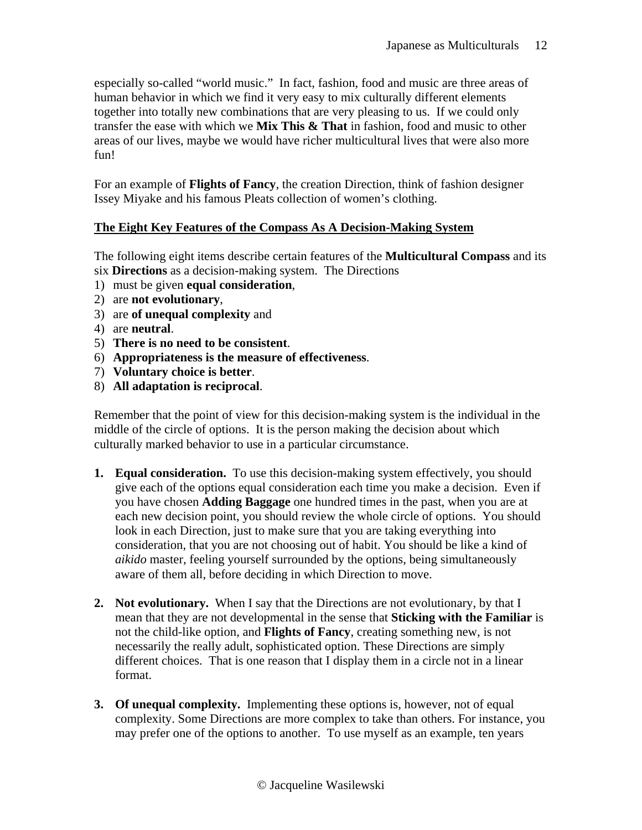especially so-called "world music." In fact, fashion, food and music are three areas of human behavior in which we find it very easy to mix culturally different elements together into totally new combinations that are very pleasing to us. If we could only transfer the ease with which we **Mix This & That** in fashion, food and music to other areas of our lives, maybe we would have richer multicultural lives that were also more fun!

For an example of **Flights of Fancy**, the creation Direction, think of fashion designer Issey Miyake and his famous Pleats collection of women's clothing.

### **The Eight Key Features of the Compass As A Decision-Making System**

The following eight items describe certain features of the **Multicultural Compass** and its six **Directions** as a decision-making system. The Directions

- 1) must be given **equal consideration**,
- 2) are **not evolutionary**,
- 3) are **of unequal complexity** and
- 4) are **neutral**.
- 5) **There is no need to be consistent**.
- 6) **Appropriateness is the measure of effectiveness**.
- 7) **Voluntary choice is better**.
- 8) **All adaptation is reciprocal**.

Remember that the point of view for this decision-making system is the individual in the middle of the circle of options. It is the person making the decision about which culturally marked behavior to use in a particular circumstance.

- **1. Equal consideration.** To use this decision-making system effectively, you should give each of the options equal consideration each time you make a decision. Even if you have chosen **Adding Baggage** one hundred times in the past, when you are at each new decision point, you should review the whole circle of options. You should look in each Direction, just to make sure that you are taking everything into consideration, that you are not choosing out of habit. You should be like a kind of *aikido* master, feeling yourself surrounded by the options, being simultaneously aware of them all, before deciding in which Direction to move.
- **2. Not evolutionary.** When I say that the Directions are not evolutionary, by that I mean that they are not developmental in the sense that **Sticking with the Familiar** is not the child-like option, and **Flights of Fancy**, creating something new, is not necessarily the really adult, sophisticated option. These Directions are simply different choices. That is one reason that I display them in a circle not in a linear format.
- **3. Of unequal complexity.** Implementing these options is, however, not of equal complexity. Some Directions are more complex to take than others. For instance, you may prefer one of the options to another. To use myself as an example, ten years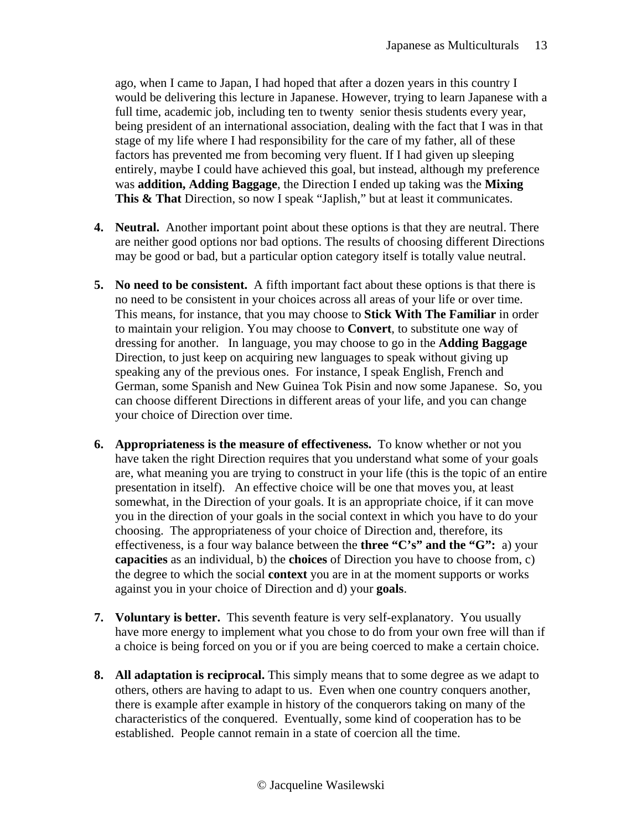ago, when I came to Japan, I had hoped that after a dozen years in this country I would be delivering this lecture in Japanese. However, trying to learn Japanese with a full time, academic job, including ten to twenty senior thesis students every year, being president of an international association, dealing with the fact that I was in that stage of my life where I had responsibility for the care of my father, all of these factors has prevented me from becoming very fluent. If I had given up sleeping entirely, maybe I could have achieved this goal, but instead, although my preference was **addition, Adding Baggage**, the Direction I ended up taking was the **Mixing**  This & That Direction, so now I speak "Japlish," but at least it communicates.

- **4. Neutral.** Another important point about these options is that they are neutral. There are neither good options nor bad options. The results of choosing different Directions may be good or bad, but a particular option category itself is totally value neutral.
- **5. No need to be consistent.** A fifth important fact about these options is that there is no need to be consistent in your choices across all areas of your life or over time. This means, for instance, that you may choose to **Stick With The Familiar** in order to maintain your religion. You may choose to **Convert**, to substitute one way of dressing for another. In language, you may choose to go in the **Adding Baggage**  Direction, to just keep on acquiring new languages to speak without giving up speaking any of the previous ones. For instance, I speak English, French and German, some Spanish and New Guinea Tok Pisin and now some Japanese. So, you can choose different Directions in different areas of your life, and you can change your choice of Direction over time.
- **6. Appropriateness is the measure of effectiveness.** To know whether or not you have taken the right Direction requires that you understand what some of your goals are, what meaning you are trying to construct in your life (this is the topic of an entire presentation in itself). An effective choice will be one that moves you, at least somewhat, in the Direction of your goals. It is an appropriate choice, if it can move you in the direction of your goals in the social context in which you have to do your choosing. The appropriateness of your choice of Direction and, therefore, its effectiveness, is a four way balance between the **three "C's" and the "G":** a) your **capacities** as an individual, b) the **choices** of Direction you have to choose from, c) the degree to which the social **context** you are in at the moment supports or works against you in your choice of Direction and d) your **goals**.
- **7. Voluntary is better.** This seventh feature is very self-explanatory. You usually have more energy to implement what you chose to do from your own free will than if a choice is being forced on you or if you are being coerced to make a certain choice.
- **8. All adaptation is reciprocal.** This simply means that to some degree as we adapt to others, others are having to adapt to us. Even when one country conquers another, there is example after example in history of the conquerors taking on many of the characteristics of the conquered. Eventually, some kind of cooperation has to be established. People cannot remain in a state of coercion all the time.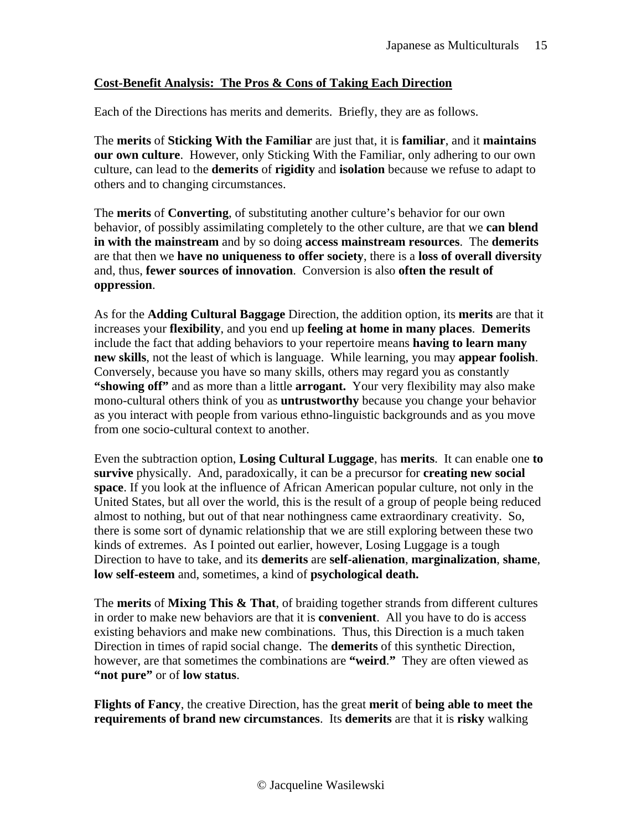#### **Cost-Benefit Analysis: The Pros & Cons of Taking Each Direction**

Each of the Directions has merits and demerits. Briefly, they are as follows.

The **merits** of **Sticking With the Familiar** are just that, it is **familiar**, and it **maintains our own culture**. However, only Sticking With the Familiar, only adhering to our own culture, can lead to the **demerits** of **rigidity** and **isolation** because we refuse to adapt to others and to changing circumstances.

The **merits** of **Converting**, of substituting another culture's behavior for our own behavior, of possibly assimilating completely to the other culture, are that we **can blend in with the mainstream** and by so doing **access mainstream resources**. The **demerits** are that then we **have no uniqueness to offer society**, there is a **loss of overall diversity** and, thus, **fewer sources of innovation**. Conversion is also **often the result of oppression**.

As for the **Adding Cultural Baggage** Direction, the addition option, its **merits** are that it increases your **flexibility**, and you end up **feeling at home in many places**. **Demerits** include the fact that adding behaviors to your repertoire means **having to learn many new skills**, not the least of which is language. While learning, you may **appear foolish**. Conversely, because you have so many skills, others may regard you as constantly **"showing off"** and as more than a little **arrogant.** Your very flexibility may also make mono-cultural others think of you as **untrustworthy** because you change your behavior as you interact with people from various ethno-linguistic backgrounds and as you move from one socio-cultural context to another.

Even the subtraction option, **Losing Cultural Luggage**, has **merits**. It can enable one **to survive** physically. And, paradoxically, it can be a precursor for **creating new social space**. If you look at the influence of African American popular culture, not only in the United States, but all over the world, this is the result of a group of people being reduced almost to nothing, but out of that near nothingness came extraordinary creativity. So, there is some sort of dynamic relationship that we are still exploring between these two kinds of extremes. As I pointed out earlier, however, Losing Luggage is a tough Direction to have to take, and its **demerits** are **self-alienation**, **marginalization**, **shame**, **low self-esteem** and, sometimes, a kind of **psychological death.** 

The **merits** of **Mixing This & That**, of braiding together strands from different cultures in order to make new behaviors are that it is **convenient**. All you have to do is access existing behaviors and make new combinations. Thus, this Direction is a much taken Direction in times of rapid social change. The **demerits** of this synthetic Direction, however, are that sometimes the combinations are **"weird**.**"** They are often viewed as **"not pure"** or of **low status**.

**Flights of Fancy**, the creative Direction, has the great **merit** of **being able to meet the requirements of brand new circumstances**. Its **demerits** are that it is **risky** walking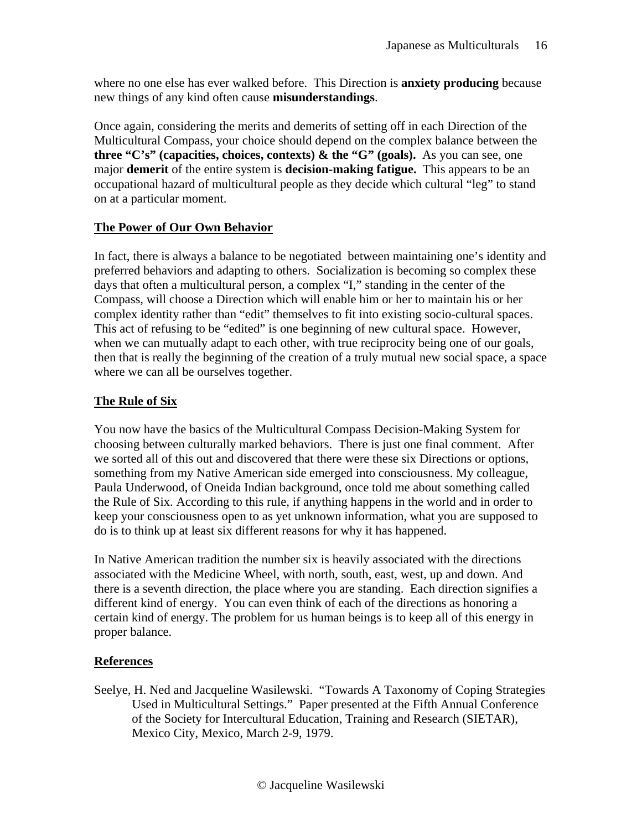where no one else has ever walked before. This Direction is **anxiety producing** because new things of any kind often cause **misunderstandings**.

Once again, considering the merits and demerits of setting off in each Direction of the Multicultural Compass, your choice should depend on the complex balance between the **three "C's" (capacities, choices, contexts) & the "G" (goals).** As you can see, one major **demerit** of the entire system is **decision-making fatigue.** This appears to be an occupational hazard of multicultural people as they decide which cultural "leg" to stand on at a particular moment.

### **The Power of Our Own Behavior**

In fact, there is always a balance to be negotiated between maintaining one's identity and preferred behaviors and adapting to others. Socialization is becoming so complex these days that often a multicultural person, a complex "I," standing in the center of the Compass, will choose a Direction which will enable him or her to maintain his or her complex identity rather than "edit" themselves to fit into existing socio-cultural spaces. This act of refusing to be "edited" is one beginning of new cultural space. However, when we can mutually adapt to each other, with true reciprocity being one of our goals, then that is really the beginning of the creation of a truly mutual new social space, a space where we can all be ourselves together.

## **The Rule of Six**

You now have the basics of the Multicultural Compass Decision-Making System for choosing between culturally marked behaviors. There is just one final comment. After we sorted all of this out and discovered that there were these six Directions or options, something from my Native American side emerged into consciousness. My colleague, Paula Underwood, of Oneida Indian background, once told me about something called the Rule of Six. According to this rule, if anything happens in the world and in order to keep your consciousness open to as yet unknown information, what you are supposed to do is to think up at least six different reasons for why it has happened.

In Native American tradition the number six is heavily associated with the directions associated with the Medicine Wheel, with north, south, east, west, up and down. And there is a seventh direction, the place where you are standing. Each direction signifies a different kind of energy. You can even think of each of the directions as honoring a certain kind of energy. The problem for us human beings is to keep all of this energy in proper balance.

## **References**

Seelye, H. Ned and Jacqueline Wasilewski. "Towards A Taxonomy of Coping Strategies Used in Multicultural Settings." Paper presented at the Fifth Annual Conference of the Society for Intercultural Education, Training and Research (SIETAR), Mexico City, Mexico, March 2-9, 1979.